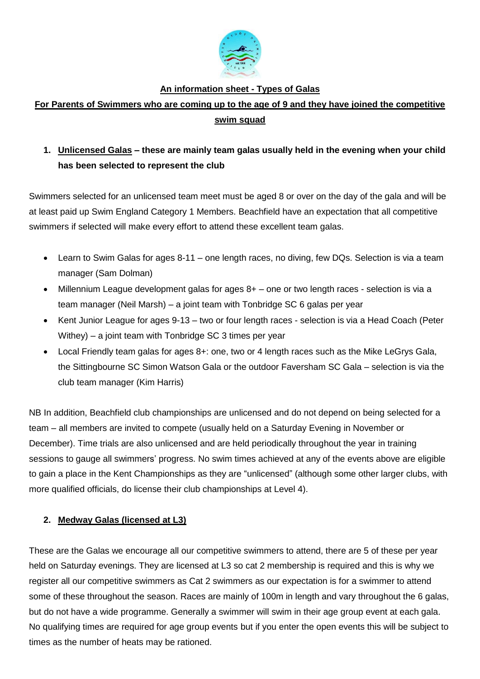

## **An information sheet - Types of Galas**

## **For Parents of Swimmers who are coming up to the age of 9 and they have joined the competitive swim squad**

# **1. Unlicensed Galas – these are mainly team galas usually held in the evening when your child has been selected to represent the club**

Swimmers selected for an unlicensed team meet must be aged 8 or over on the day of the gala and will be at least paid up Swim England Category 1 Members. Beachfield have an expectation that all competitive swimmers if selected will make every effort to attend these excellent team galas.

- Learn to Swim Galas for ages 8-11 one length races, no diving, few DQs. Selection is via a team manager (Sam Dolman)
- Millennium League development galas for ages 8+ one or two length races selection is via a team manager (Neil Marsh) – a joint team with Tonbridge SC 6 galas per year
- Kent Junior League for ages 9-13 two or four length races selection is via a Head Coach (Peter Withey) – a joint team with Tonbridge SC 3 times per year
- Local Friendly team galas for ages 8+: one, two or 4 length races such as the Mike LeGrys Gala, the Sittingbourne SC Simon Watson Gala or the outdoor Faversham SC Gala – selection is via the club team manager (Kim Harris)

NB In addition, Beachfield club championships are unlicensed and do not depend on being selected for a team – all members are invited to compete (usually held on a Saturday Evening in November or December). Time trials are also unlicensed and are held periodically throughout the year in training sessions to gauge all swimmers' progress. No swim times achieved at any of the events above are eligible to gain a place in the Kent Championships as they are "unlicensed" (although some other larger clubs, with more qualified officials, do license their club championships at Level 4).

## **2. Medway Galas (licensed at L3)**

These are the Galas we encourage all our competitive swimmers to attend, there are 5 of these per year held on Saturday evenings. They are licensed at L3 so cat 2 membership is required and this is why we register all our competitive swimmers as Cat 2 swimmers as our expectation is for a swimmer to attend some of these throughout the season. Races are mainly of 100m in length and vary throughout the 6 galas, but do not have a wide programme. Generally a swimmer will swim in their age group event at each gala. No qualifying times are required for age group events but if you enter the open events this will be subject to times as the number of heats may be rationed.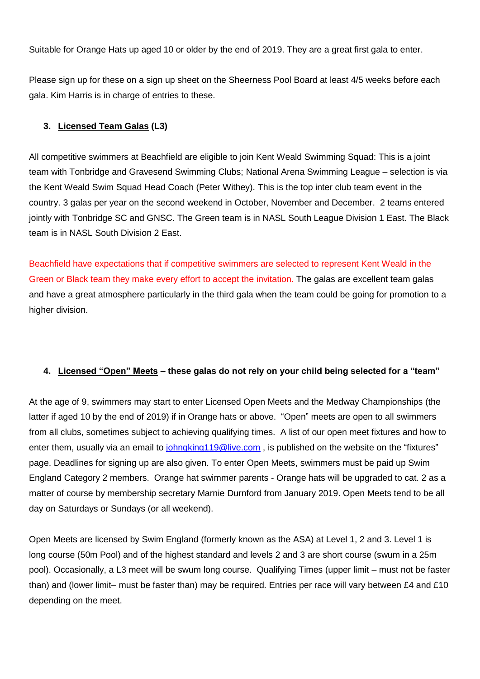Suitable for Orange Hats up aged 10 or older by the end of 2019. They are a great first gala to enter.

Please sign up for these on a sign up sheet on the Sheerness Pool Board at least 4/5 weeks before each gala. Kim Harris is in charge of entries to these.

#### **3. Licensed Team Galas (L3)**

All competitive swimmers at Beachfield are eligible to join Kent Weald Swimming Squad: This is a joint team with Tonbridge and Gravesend Swimming Clubs; National Arena Swimming League – selection is via the Kent Weald Swim Squad Head Coach (Peter Withey). This is the top inter club team event in the country. 3 galas per year on the second weekend in October, November and December. 2 teams entered jointly with Tonbridge SC and GNSC. The Green team is in NASL South League Division 1 East. The Black team is in NASL South Division 2 East.

Beachfield have expectations that if competitive swimmers are selected to represent Kent Weald in the Green or Black team they make every effort to accept the invitation. The galas are excellent team galas and have a great atmosphere particularly in the third gala when the team could be going for promotion to a higher division.

#### **4. Licensed "Open" Meets – these galas do not rely on your child being selected for a "team"**

At the age of 9, swimmers may start to enter Licensed Open Meets and the Medway Championships (the latter if aged 10 by the end of 2019) if in Orange hats or above. "Open" meets are open to all swimmers from all clubs, sometimes subject to achieving qualifying times. A list of our open meet fixtures and how to enter them, usually via an email to [johngking119@live.com](mailto:johngking119@live.com), is published on the website on the "fixtures" page. Deadlines for signing up are also given. To enter Open Meets, swimmers must be paid up Swim England Category 2 members. Orange hat swimmer parents - Orange hats will be upgraded to cat. 2 as a matter of course by membership secretary Marnie Durnford from January 2019. Open Meets tend to be all day on Saturdays or Sundays (or all weekend).

Open Meets are licensed by Swim England (formerly known as the ASA) at Level 1, 2 and 3. Level 1 is long course (50m Pool) and of the highest standard and levels 2 and 3 are short course (swum in a 25m pool). Occasionally, a L3 meet will be swum long course. Qualifying Times (upper limit – must not be faster than) and (lower limit– must be faster than) may be required. Entries per race will vary between £4 and £10 depending on the meet.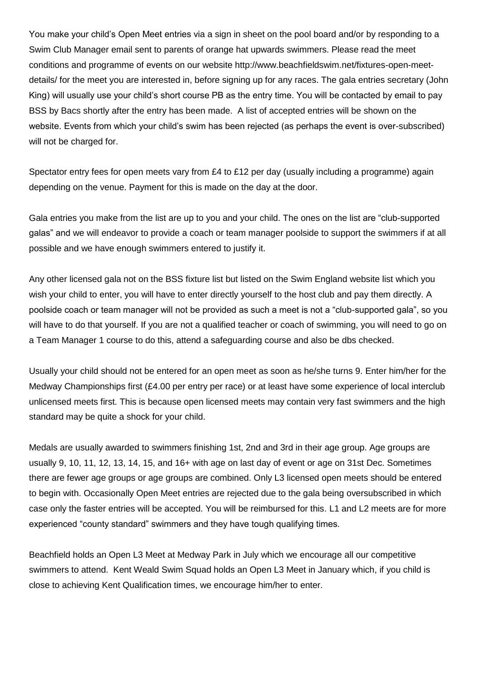You make your child's Open Meet entries via a sign in sheet on the pool board and/or by responding to a Swim Club Manager email sent to parents of orange hat upwards swimmers. Please read the meet conditions and programme of events on our website http://www.beachfieldswim.net/fixtures-open-meetdetails/ for the meet you are interested in, before signing up for any races. The gala entries secretary (John King) will usually use your child's short course PB as the entry time. You will be contacted by email to pay BSS by Bacs shortly after the entry has been made. A list of accepted entries will be shown on the website. Events from which your child's swim has been rejected (as perhaps the event is over-subscribed) will not be charged for.

Spectator entry fees for open meets vary from £4 to £12 per day (usually including a programme) again depending on the venue. Payment for this is made on the day at the door.

Gala entries you make from the list are up to you and your child. The ones on the list are "club-supported galas" and we will endeavor to provide a coach or team manager poolside to support the swimmers if at all possible and we have enough swimmers entered to justify it.

Any other licensed gala not on the BSS fixture list but listed on the Swim England website list which you wish your child to enter, you will have to enter directly yourself to the host club and pay them directly. A poolside coach or team manager will not be provided as such a meet is not a "club-supported gala", so you will have to do that yourself. If you are not a qualified teacher or coach of swimming, you will need to go on a Team Manager 1 course to do this, attend a safeguarding course and also be dbs checked.

Usually your child should not be entered for an open meet as soon as he/she turns 9. Enter him/her for the Medway Championships first (£4.00 per entry per race) or at least have some experience of local interclub unlicensed meets first. This is because open licensed meets may contain very fast swimmers and the high standard may be quite a shock for your child.

Medals are usually awarded to swimmers finishing 1st, 2nd and 3rd in their age group. Age groups are usually 9, 10, 11, 12, 13, 14, 15, and 16+ with age on last day of event or age on 31st Dec. Sometimes there are fewer age groups or age groups are combined. Only L3 licensed open meets should be entered to begin with. Occasionally Open Meet entries are rejected due to the gala being oversubscribed in which case only the faster entries will be accepted. You will be reimbursed for this. L1 and L2 meets are for more experienced "county standard" swimmers and they have tough qualifying times.

Beachfield holds an Open L3 Meet at Medway Park in July which we encourage all our competitive swimmers to attend. Kent Weald Swim Squad holds an Open L3 Meet in January which, if you child is close to achieving Kent Qualification times, we encourage him/her to enter.